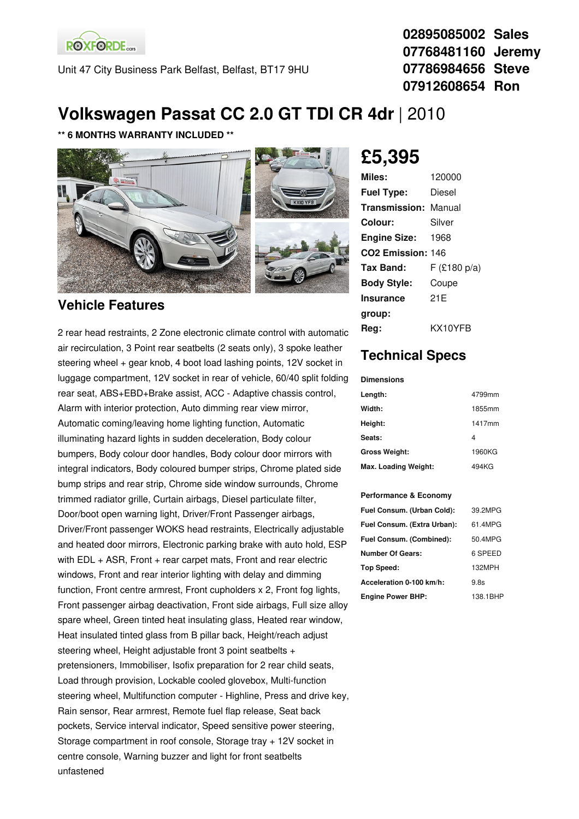**ROXFORDE**<sub>cars</sub>

Unit 47 City Business Park Belfast, Belfast, BT17 9HU

**02895085002 Sales 07768481160 Jeremy 07786984656 Steve 07912608654 Ron**

## **Volkswagen Passat CC 2.0 GT TDI CR 4dr** |2010

### **\*\* 6 MONTHS WARRANTY INCLUDED \*\***



### **Vehicle Features**

2 rear head restraints, 2 Zone electronic climate control with automatic air recirculation, 3 Point rear seatbelts (2 seats only), 3 spoke leather steering wheel + gear knob, 4 boot load lashing points, 12V socket in luggage compartment, 12V socket in rear of vehicle, 60/40 split folding rear seat, ABS+EBD+Brake assist, ACC - Adaptive chassis control, Alarm with interior protection, Auto dimming rear view mirror, Automatic coming/leaving home lighting function, Automatic illuminating hazard lights in sudden deceleration, Body colour bumpers, Body colour door handles, Body colour door mirrors with integral indicators, Body coloured bumper strips, Chrome plated side bump strips and rear strip, Chrome side window surrounds, Chrome trimmed radiator grille, Curtain airbags, Diesel particulate filter, Door/boot open warning light, Driver/Front Passenger airbags, Driver/Front passenger WOKS head restraints, Electrically adjustable and heated door mirrors, Electronic parking brake with auto hold, ESP with  $EDL + ASR$ , Front  $+$  rear carpet mats, Front and rear electric windows, Front and rear interior lighting with delay and dimming function, Front centre armrest, Front cupholders x 2, Front fog lights, Front passenger airbag deactivation, Front side airbags, Full size alloy spare wheel, Green tinted heat insulating glass, Heated rear window, Heat insulated tinted glass from B pillar back, Height/reach adjust steering wheel, Height adjustable front 3 point seatbelts + pretensioners, Immobiliser, Isofix preparation for 2 rear child seats, Load through provision, Lockable cooled glovebox, Multi-function steering wheel, Multifunction computer - Highline, Press and drive key, Rain sensor, Rear armrest, Remote fuel flap release, Seat back pockets, Service interval indicator, Speed sensitive power steering, Storage compartment in roof console, Storage tray + 12V socket in centre console, Warning buzzer and light for front seatbelts unfastened

# **£5,395**

| Miles:                        | 120000      |
|-------------------------------|-------------|
| <b>Fuel Type:</b>             | Diesel      |
| <b>Transmission: Manual</b>   |             |
| Colour:                       | Silver      |
| <b>Engine Size:</b>           | 1968        |
| CO <sub>2</sub> Emission: 146 |             |
| Tax Band:                     | F(£180 p/a) |
| <b>Body Style:</b>            | Coupe       |
| <b>Insurance</b>              | 21F         |
| group:                        |             |
| Reg:                          | KX10YFB     |
|                               |             |

### **Technical Specs**

#### **Dimensions**

| Length:              | 4799mm |
|----------------------|--------|
| Width:               | 1855mm |
| Height:              | 1417mm |
| Seats:               | 4      |
| <b>Gross Weight:</b> | 1960KG |
| Max. Loading Weight: | 494KG  |

#### **Performance & Economy**

| Fuel Consum. (Urban Cold):  | 39.2MPG  |
|-----------------------------|----------|
| Fuel Consum. (Extra Urban): | 61.4MPG  |
| Fuel Consum. (Combined):    | 50.4MPG  |
| <b>Number Of Gears:</b>     | 6 SPEED  |
| Top Speed:                  | 132MPH   |
| Acceleration 0-100 km/h:    | 9.8s     |
| <b>Engine Power BHP:</b>    | 138.1BHP |